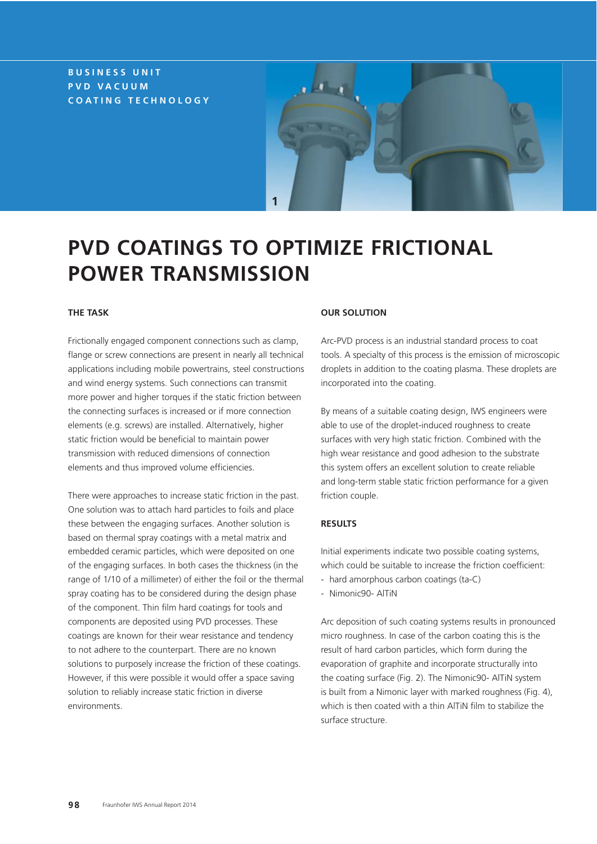## **BUSINESS UNIT PVD VACUUM COATING TECHNOLOGY**



# **PVD COATINGS TO OPTIMIZE FRICTIONAL POWER TRANSMISSION**

### **THE TASK**

Frictionally engaged component connections such as clamp, flange or screw connections are present in nearly all technical applications including mobile powertrains, steel constructions and wind energy systems. Such connections can transmit more power and higher torques if the static friction between the connecting surfaces is increased or if more connection elements (e.g. screws) are installed. Alternatively, higher static friction would be beneficial to maintain power transmission with reduced dimensions of connection elements and thus improved volume efficiencies.

There were approaches to increase static friction in the past. One solution was to attach hard particles to foils and place these between the engaging surfaces. Another solution is based on thermal spray coatings with a metal matrix and embedded ceramic particles, which were deposited on one of the engaging surfaces. In both cases the thickness (in the range of 1/10 of a millimeter) of either the foil or the thermal spray coating has to be considered during the design phase of the component. Thin film hard coatings for tools and components are deposited using PVD processes. These coatings are known for their wear resistance and tendency to not adhere to the counterpart. There are no known solutions to purposely increase the friction of these coatings. However, if this were possible it would offer a space saving solution to reliably increase static friction in diverse environments.

#### **OUR SOLUTION**

Arc-PVD process is an industrial standard process to coat tools. A specialty of this process is the emission of microscopic droplets in addition to the coating plasma. These droplets are incorporated into the coating.

By means of a suitable coating design, IWS engineers were able to use of the droplet-induced roughness to create surfaces with very high static friction. Combined with the high wear resistance and good adhesion to the substrate this system offers an excellent solution to create reliable and long-term stable static friction performance for a given friction couple.

#### **RESULTS**

Initial experiments indicate two possible coating systems, which could be suitable to increase the friction coefficient:

- hard amorphous carbon coatings (ta-C)
- Nimonic90- AlTiN

Arc deposition of such coating systems results in pronounced micro roughness. In case of the carbon coating this is the result of hard carbon particles, which form during the evaporation of graphite and incorporate structurally into the coating surface (Fig. 2). The Nimonic90- AlTiN system is built from a Nimonic layer with marked roughness (Fig. 4), which is then coated with a thin AlTiN film to stabilize the surface structure.